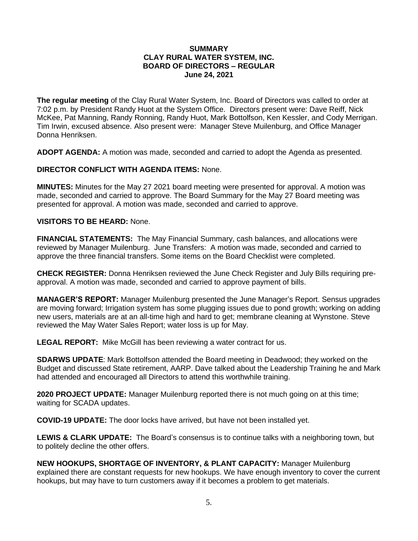## **SUMMARY CLAY RURAL WATER SYSTEM, INC. BOARD OF DIRECTORS – REGULAR June 24, 2021**

**The regular meeting** of the Clay Rural Water System, Inc. Board of Directors was called to order at 7:02 p.m. by President Randy Huot at the System Office. Directors present were: Dave Reiff, Nick McKee, Pat Manning, Randy Ronning, Randy Huot, Mark Bottolfson, Ken Kessler, and Cody Merrigan. Tim Irwin, excused absence. Also present were: Manager Steve Muilenburg, and Office Manager Donna Henriksen.

**ADOPT AGENDA:** A motion was made, seconded and carried to adopt the Agenda as presented.

**DIRECTOR CONFLICT WITH AGENDA ITEMS:** None.

**MINUTES:** Minutes for the May 27 2021 board meeting were presented for approval. A motion was made, seconded and carried to approve. The Board Summary for the May 27 Board meeting was presented for approval. A motion was made, seconded and carried to approve.

## **VISITORS TO BE HEARD:** None.

**FINANCIAL STATEMENTS:** The May Financial Summary, cash balances, and allocations were reviewed by Manager Muilenburg. June Transfers: A motion was made, seconded and carried to approve the three financial transfers. Some items on the Board Checklist were completed.

**CHECK REGISTER:** Donna Henriksen reviewed the June Check Register and July Bills requiring preapproval. A motion was made, seconded and carried to approve payment of bills.

**MANAGER'S REPORT:** Manager Muilenburg presented the June Manager's Report. Sensus upgrades are moving forward; Irrigation system has some plugging issues due to pond growth; working on adding new users, materials are at an all-time high and hard to get; membrane cleaning at Wynstone. Steve reviewed the May Water Sales Report; water loss is up for May.

**LEGAL REPORT:** Mike McGill has been reviewing a water contract for us.

**SDARWS UPDATE**: Mark Bottolfson attended the Board meeting in Deadwood; they worked on the Budget and discussed State retirement, AARP. Dave talked about the Leadership Training he and Mark had attended and encouraged all Directors to attend this worthwhile training.

**2020 PROJECT UPDATE:** Manager Muilenburg reported there is not much going on at this time; waiting for SCADA updates.

**COVID-19 UPDATE:** The door locks have arrived, but have not been installed yet.

**LEWIS & CLARK UPDATE:** The Board's consensus is to continue talks with a neighboring town, but to politely decline the other offers.

**NEW HOOKUPS, SHORTAGE OF INVENTORY, & PLANT CAPACITY:** Manager Muilenburg explained there are constant requests for new hookups. We have enough inventory to cover the current hookups, but may have to turn customers away if it becomes a problem to get materials.